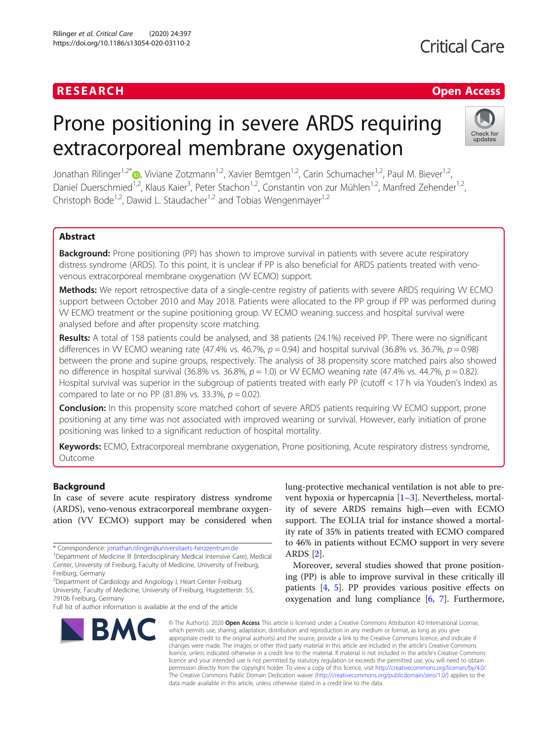### **RESEARCH CHINESEARCH CHINESEARCH CHINESEARCH**

# **Critical Care**

## Prone positioning in severe ARDS requiring extracorporeal membrane oxygenation



Jonathan Rilinger<sup>1[,](http://orcid.org/0000-0001-9333-3629)2\*</sup> , Viviane Zotzmann<sup>1,2</sup>, Xavier Bemtgen<sup>1,2</sup>, Carin Schumacher<sup>1,2</sup>, Paul M. Biever<sup>1,2</sup>, Daniel Duerschmied<sup>1,2</sup>, Klaus Kaier<sup>3</sup>, Peter Stachon<sup>1,2</sup>, Constantin von zur Mühlen<sup>1,2</sup>, Manfred Zehender<sup>1,2</sup>, Christoph Bode<sup>1,2</sup>, Dawid L. Staudacher<sup>1,2</sup> and Tobias Wengenmayer<sup>1,2</sup>

#### Abstract

**Background:** Prone positioning (PP) has shown to improve survival in patients with severe acute respiratory distress syndrome (ARDS). To this point, it is unclear if PP is also beneficial for ARDS patients treated with venovenous extracorporeal membrane oxygenation (W ECMO) support.

Methods: We report retrospective data of a single-centre registry of patients with severe ARDS requiring W ECMO support between October 2010 and May 2018. Patients were allocated to the PP group if PP was performed during VV ECMO treatment or the supine positioning group. VV ECMO weaning success and hospital survival were analysed before and after propensity score matching.

Results: A total of 158 patients could be analysed, and 38 patients (24.1%) received PP. There were no significant differences in W ECMO weaning rate (47.4% vs. 46.7%,  $p = 0.94$ ) and hospital survival (36.8% vs. 36.7%,  $p = 0.98$ ) between the prone and supine groups, respectively. The analysis of 38 propensity score matched pairs also showed no difference in hospital survival (36.8% vs. 36.8%,  $p = 1.0$ ) or W ECMO weaning rate (47.4% vs. 44.7%,  $p = 0.82$ ). Hospital survival was superior in the subgroup of patients treated with early PP (cutoff < 17 h via Youden's Index) as compared to late or no PP (81.8% vs. 33.3%,  $p = 0.02$ ).

Conclusion: In this propensity score matched cohort of severe ARDS patients requiring W ECMO support, prone positioning at any time was not associated with improved weaning or survival. However, early initiation of prone positioning was linked to a significant reduction of hospital mortality.

Keywords: ECMO, Extracorporeal membrane oxygenation, Prone positioning, Acute respiratory distress syndrome, Outcome

#### Background

In case of severe acute respiratory distress syndrome (ARDS), veno-venous extracorporeal membrane oxygenation (VV ECMO) support may be considered when

Full list of author information is available at the end of the article



lung-protective mechanical ventilation is not able to prevent hypoxia or hypercapnia [[1](#page-8-0)–[3\]](#page-8-0). Nevertheless, mortality of severe ARDS remains high—even with ECMO support. The EOLIA trial for instance showed a mortality rate of 35% in patients treated with ECMO compared to 46% in patients without ECMO support in very severe ARDS [[2\]](#page-8-0).

Moreover, several studies showed that prone positioning (PP) is able to improve survival in these critically ill patients [[4,](#page-8-0) [5\]](#page-8-0). PP provides various positive effects on oxygenation and lung compliance [\[6,](#page-8-0) [7](#page-8-0)]. Furthermore,

© The Author(s), 2020 **Open Access** This article is licensed under a Creative Commons Attribution 4.0 International License, which permits use, sharing, adaptation, distribution and reproduction in any medium or format, as long as you give appropriate credit to the original author(s) and the source, provide a link to the Creative Commons licence, and indicate if changes were made. The images or other third party material in this article are included in the article's Creative Commons licence, unless indicated otherwise in a credit line to the material. If material is not included in the article's Creative Commons licence and your intended use is not permitted by statutory regulation or exceeds the permitted use, you will need to obtain permission directly from the copyright holder. To view a copy of this licence, visit [http://creativecommons.org/licenses/by/4.0/.](http://creativecommons.org/licenses/by/4.0/) The Creative Commons Public Domain Dedication waiver [\(http://creativecommons.org/publicdomain/zero/1.0/](http://creativecommons.org/publicdomain/zero/1.0/)) applies to the data made available in this article, unless otherwise stated in a credit line to the data.

<sup>\*</sup> Correspondence: [jonathan.rilinger@universitaets-herzzentrum.de](mailto:jonathan.rilinger@universitaets-herzzentrum.de) <sup>1</sup>

Department of Medicine III (Interdisciplinary Medical Intensive Care), Medical Center, University of Freiburg, Faculty of Medicine, University of Freiburg, Freiburg, Germany

<sup>&</sup>lt;sup>2</sup>Department of Cardiology and Angiology I, Heart Center Freiburg University, Faculty of Medicine, University of Freiburg, Hugstetterstr. 55, 79106 Freiburg, Germany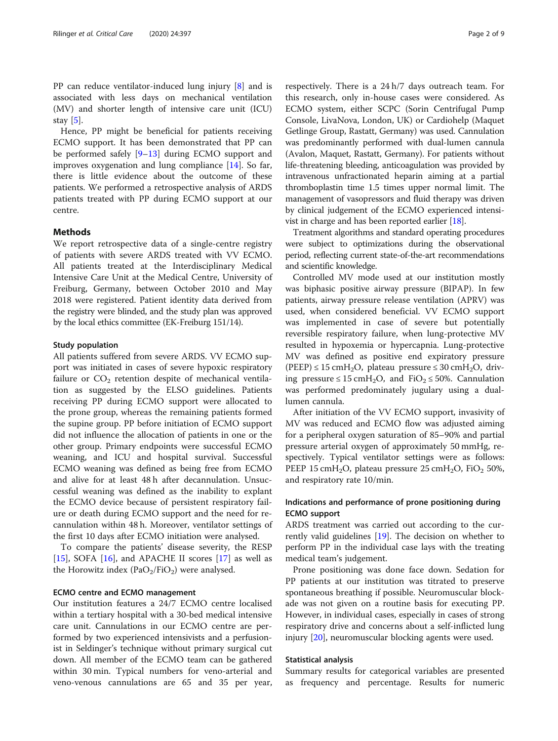PP can reduce ventilator-induced lung injury [\[8](#page-8-0)] and is associated with less days on mechanical ventilation (MV) and shorter length of intensive care unit (ICU) stay [[5](#page-8-0)].

Hence, PP might be beneficial for patients receiving ECMO support. It has been demonstrated that PP can be performed safely [\[9](#page-8-0)–[13\]](#page-8-0) during ECMO support and improves oxygenation and lung compliance [[14\]](#page-8-0). So far, there is little evidence about the outcome of these patients. We performed a retrospective analysis of ARDS patients treated with PP during ECMO support at our centre.

#### Methods

We report retrospective data of a single-centre registry of patients with severe ARDS treated with VV ECMO. All patients treated at the Interdisciplinary Medical Intensive Care Unit at the Medical Centre, University of Freiburg, Germany, between October 2010 and May 2018 were registered. Patient identity data derived from the registry were blinded, and the study plan was approved by the local ethics committee (EK-Freiburg 151/14).

#### Study population

All patients suffered from severe ARDS. VV ECMO support was initiated in cases of severe hypoxic respiratory failure or  $CO<sub>2</sub>$  retention despite of mechanical ventilation as suggested by the ELSO guidelines. Patients receiving PP during ECMO support were allocated to the prone group, whereas the remaining patients formed the supine group. PP before initiation of ECMO support did not influence the allocation of patients in one or the other group. Primary endpoints were successful ECMO weaning, and ICU and hospital survival. Successful ECMO weaning was defined as being free from ECMO and alive for at least 48 h after decannulation. Unsuccessful weaning was defined as the inability to explant the ECMO device because of persistent respiratory failure or death during ECMO support and the need for recannulation within 48 h. Moreover, ventilator settings of the first 10 days after ECMO initiation were analysed.

To compare the patients' disease severity, the RESP [[15\]](#page-8-0), SOFA  $[16]$  $[16]$ , and APACHE II scores  $[17]$  $[17]$  $[17]$  as well as the Horowitz index  $(PaO_2/FiO_2)$  were analysed.

#### ECMO centre and ECMO management

Our institution features a 24/7 ECMO centre localised within a tertiary hospital with a 30-bed medical intensive care unit. Cannulations in our ECMO centre are performed by two experienced intensivists and a perfusionist in Seldinger's technique without primary surgical cut down. All member of the ECMO team can be gathered within 30 min. Typical numbers for veno-arterial and veno-venous cannulations are 65 and 35 per year, respectively. There is a 24 h/7 days outreach team. For this research, only in-house cases were considered. As ECMO system, either SCPC (Sorin Centrifugal Pump Console, LivaNova, London, UK) or Cardiohelp (Maquet Getlinge Group, Rastatt, Germany) was used. Cannulation was predominantly performed with dual-lumen cannula (Avalon, Maquet, Rastatt, Germany). For patients without life-threatening bleeding, anticoagulation was provided by intravenous unfractionated heparin aiming at a partial thromboplastin time 1.5 times upper normal limit. The management of vasopressors and fluid therapy was driven by clinical judgement of the ECMO experienced intensivist in charge and has been reported earlier [\[18\]](#page-8-0).

Treatment algorithms and standard operating procedures were subject to optimizations during the observational period, reflecting current state-of-the-art recommendations and scientific knowledge.

Controlled MV mode used at our institution mostly was biphasic positive airway pressure (BIPAP). In few patients, airway pressure release ventilation (APRV) was used, when considered beneficial. VV ECMO support was implemented in case of severe but potentially reversible respiratory failure, when lung-protective MV resulted in hypoxemia or hypercapnia. Lung-protective MV was defined as positive end expiratory pressure  $(PEEP) \le 15 \text{ cm}H_2O$ , plateau pressure  $\le 30 \text{ cm}H_2O$ , driving pressure ≤ 15 cmH<sub>2</sub>O, and FiO<sub>2</sub> ≤ 50%. Cannulation was performed predominately jugulary using a duallumen cannula.

After initiation of the VV ECMO support, invasivity of MV was reduced and ECMO flow was adjusted aiming for a peripheral oxygen saturation of 85–90% and partial pressure arterial oxygen of approximately 50 mmHg, respectively. Typical ventilator settings were as follows: PEEP 15 cmH<sub>2</sub>O, plateau pressure 25 cmH<sub>2</sub>O, FiO<sub>2</sub> 50%, and respiratory rate 10/min.

#### Indications and performance of prone positioning during ECMO support

ARDS treatment was carried out according to the currently valid guidelines [[19\]](#page-8-0). The decision on whether to perform PP in the individual case lays with the treating medical team's judgement.

Prone positioning was done face down. Sedation for PP patients at our institution was titrated to preserve spontaneous breathing if possible. Neuromuscular blockade was not given on a routine basis for executing PP. However, in individual cases, especially in cases of strong respiratory drive and concerns about a self-inflicted lung injury [[20](#page-8-0)], neuromuscular blocking agents were used.

#### Statistical analysis

Summary results for categorical variables are presented as frequency and percentage. Results for numeric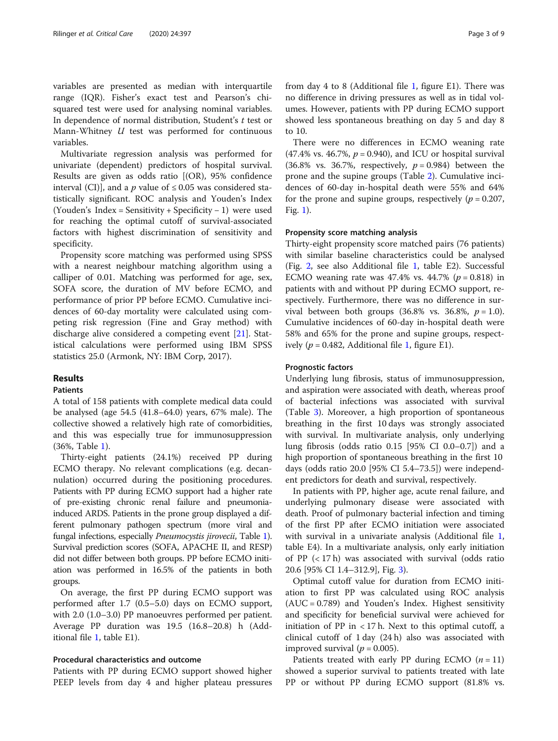variables are presented as median with interquartile range (IQR). Fisher's exact test and Pearson's chisquared test were used for analysing nominal variables. In dependence of normal distribution, Student's t test or Mann-Whitney  $U$  test was performed for continuous variables.

Multivariate regression analysis was performed for univariate (dependent) predictors of hospital survival. Results are given as odds ratio [(OR), 95% confidence interval (CI)], and a p value of  $\leq 0.05$  was considered statistically significant. ROC analysis and Youden's Index (Youden's Index = Sensitivity + Specificity − 1) were used for reaching the optimal cutoff of survival-associated factors with highest discrimination of sensitivity and specificity.

Propensity score matching was performed using SPSS with a nearest neighbour matching algorithm using a calliper of 0.01. Matching was performed for age, sex, SOFA score, the duration of MV before ECMO, and performance of prior PP before ECMO. Cumulative incidences of 60-day mortality were calculated using competing risk regression (Fine and Gray method) with discharge alive considered a competing event [\[21](#page-8-0)]. Statistical calculations were performed using IBM SPSS statistics 25.0 (Armonk, NY: IBM Corp, 2017).

#### Results

#### Patients

A total of 158 patients with complete medical data could be analysed (age 54.5 (41.8–64.0) years, 67% male). The collective showed a relatively high rate of comorbidities, and this was especially true for immunosuppression (36%, Table [1](#page-3-0)).

Thirty-eight patients (24.1%) received PP during ECMO therapy. No relevant complications (e.g. decannulation) occurred during the positioning procedures. Patients with PP during ECMO support had a higher rate of pre-existing chronic renal failure and pneumoniainduced ARDS. Patients in the prone group displayed a different pulmonary pathogen spectrum (more viral and fungal infections, especially Pneumocystis jirovecii, Table [1](#page-3-0)). Survival prediction scores (SOFA, APACHE II, and RESP) did not differ between both groups. PP before ECMO initiation was performed in 16.5% of the patients in both groups.

On average, the first PP during ECMO support was performed after 1.7 (0.5–5.0) days on ECMO support, with 2.0 (1.0–3.0) PP manoeuvres performed per patient. Average PP duration was 19.5 (16.8–20.8) h (Additional file [1,](#page-7-0) table E1).

#### Procedural characteristics and outcome

Patients with PP during ECMO support showed higher PEEP levels from day 4 and higher plateau pressures from day 4 to 8 (Additional file [1](#page-7-0), figure E1). There was no difference in driving pressures as well as in tidal volumes. However, patients with PP during ECMO support showed less spontaneous breathing on day 5 and day 8 to 10.

There were no differences in ECMO weaning rate  $(47.4\% \text{ vs. } 46.7\%, p = 0.940)$ , and ICU or hospital survival  $(36.8\% \text{ vs. } 36.7\%, \text{ respectively, } p = 0.984)$  between the prone and the supine groups (Table [2](#page-4-0)). Cumulative incidences of 60-day in-hospital death were 55% and 64% for the prone and supine groups, respectively ( $p = 0.207$ , Fig. [1](#page-5-0)).

#### Propensity score matching analysis

Thirty-eight propensity score matched pairs (76 patients) with similar baseline characteristics could be analysed (Fig. [2,](#page-5-0) see also Additional file [1,](#page-7-0) table E2). Successful ECMO weaning rate was  $47.4\%$  vs.  $44.7\%$  ( $p = 0.818$ ) in patients with and without PP during ECMO support, respectively. Furthermore, there was no difference in survival between both groups  $(36.8\% \text{ vs. } 36.8\%, p = 1.0).$ Cumulative incidences of 60-day in-hospital death were 58% and 65% for the prone and supine groups, respectively ( $p = 0.482$ , Additional file [1](#page-7-0), figure E1).

#### Prognostic factors

Underlying lung fibrosis, status of immunosuppression, and aspiration were associated with death, whereas proof of bacterial infections was associated with survival (Table [3](#page-6-0)). Moreover, a high proportion of spontaneous breathing in the first 10 days was strongly associated with survival. In multivariate analysis, only underlying lung fibrosis (odds ratio 0.15 [95% CI 0.0–0.7]) and a high proportion of spontaneous breathing in the first 10 days (odds ratio 20.0 [95% CI 5.4–73.5]) were independent predictors for death and survival, respectively.

In patients with PP, higher age, acute renal failure, and underlying pulmonary disease were associated with death. Proof of pulmonary bacterial infection and timing of the first PP after ECMO initiation were associated with survival in a univariate analysis (Additional file [1](#page-7-0), table E4). In a multivariate analysis, only early initiation of PP  $(< 17 h)$  was associated with survival (odds ratio 20.6 [95% CI 1.4–312.9], Fig. [3](#page-6-0)).

Optimal cutoff value for duration from ECMO initiation to first PP was calculated using ROC analysis (AUC = 0.789) and Youden's Index. Highest sensitivity and specificity for beneficial survival were achieved for initiation of PP in  $\langle 17 \rangle$  h. Next to this optimal cutoff, a clinical cutoff of 1 day (24 h) also was associated with improved survival ( $p = 0.005$ ).

Patients treated with early PP during ECMO  $(n = 11)$ showed a superior survival to patients treated with late PP or without PP during ECMO support (81.8% vs.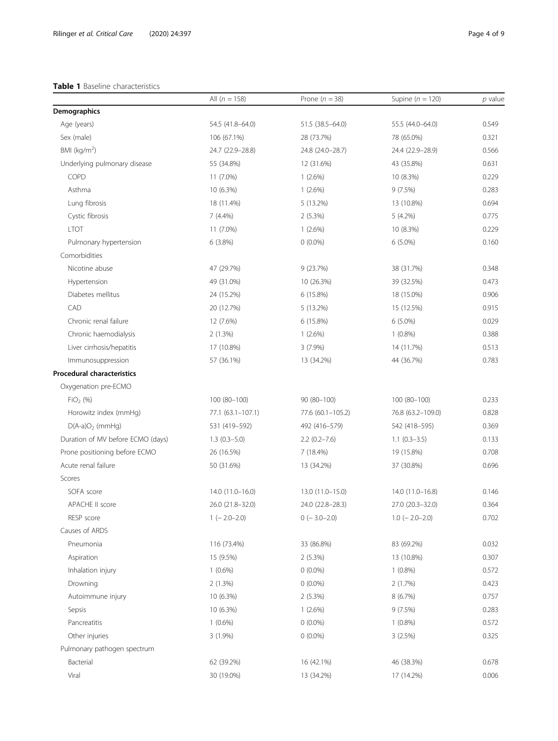#### <span id="page-3-0"></span>Table 1 Baseline characteristics

|                                   | All $(n = 158)$   | Prone ( $n = 38$ ) | Supine ( $n = 120$ ) | $p$ value |
|-----------------------------------|-------------------|--------------------|----------------------|-----------|
| Demographics                      |                   |                    |                      |           |
| Age (years)                       | 54.5 (41.8-64.0)  | 51.5 (38.5 - 64.0) | 55.5 (44.0-64.0)     | 0.549     |
| Sex (male)                        | 106 (67.1%)       | 28 (73.7%)         | 78 (65.0%)           | 0.321     |
| BMI ( $kg/m2$ )                   | 24.7 (22.9-28.8)  | 24.8 (24.0-28.7)   | 24.4 (22.9-28.9)     | 0.566     |
| Underlying pulmonary disease      | 55 (34.8%)        | 12 (31.6%)         | 43 (35.8%)           | 0.631     |
| COPD                              | 11 (7.0%)         | $1(2.6\%)$         | 10 (8.3%)            | 0.229     |
| Asthma                            | 10 (6.3%)         | 1(2.6%)            | 9(7.5%)              | 0.283     |
| Lung fibrosis                     | 18 (11.4%)        | 5 (13.2%)          | 13 (10.8%)           | 0.694     |
| Cystic fibrosis                   | $7(4.4\%)$        | 2(5.3%)            | $5(4.2\%)$           | 0.775     |
| <b>LTOT</b>                       | 11 (7.0%)         | 1(2.6%)            | 10 (8.3%)            | 0.229     |
| Pulmonary hypertension            | 6(3.8%)           | $0(0.0\%)$         | $6(5.0\%)$           | 0.160     |
| Comorbidities                     |                   |                    |                      |           |
| Nicotine abuse                    | 47 (29.7%)        | 9(23.7%)           | 38 (31.7%)           | 0.348     |
| Hypertension                      | 49 (31.0%)        | 10 (26.3%)         | 39 (32.5%)           | 0.473     |
| Diabetes mellitus                 | 24 (15.2%)        | 6(15.8%)           | 18 (15.0%)           | 0.906     |
| CAD                               | 20 (12.7%)        | $5(13.2\%)$        | 15 (12.5%)           | 0.915     |
| Chronic renal failure             | 12 (7.6%)         | 6(15.8%)           | $6(5.0\%)$           | 0.029     |
| Chronic haemodialysis             | 2(1.3%)           | 1(2.6%)            | $1(0.8\%)$           | 0.388     |
| Liver cirrhosis/hepatitis         | 17 (10.8%)        | $3(7.9\%)$         | 14 (11.7%)           | 0.513     |
| Immunosuppression                 | 57 (36.1%)        | 13 (34.2%)         | 44 (36.7%)           | 0.783     |
| <b>Procedural characteristics</b> |                   |                    |                      |           |
| Oxygenation pre-ECMO              |                   |                    |                      |           |
| $FiO2$ (%)                        | 100 (80-100)      | 90 (80-100)        | $100(80-100)$        | 0.233     |
| Horowitz index (mmHg)             | 77.1 (63.1-107.1) | 77.6 (60.1-105.2)  | 76.8 (63.2-109.0)    | 0.828     |
| $D(A-a)O2$ (mmHq)                 | 531 (419-592)     | 492 (416-579)      | 542 (418-595)        | 0.369     |
| Duration of MV before ECMO (days) | $1.3(0.3-5.0)$    | $2.2(0.2 - 7.6)$   | $1.1(0.3-3.5)$       | 0.133     |
| Prone positioning before ECMO     | 26 (16.5%)        | 7 (18.4%)          | 19 (15.8%)           | 0.708     |
| Acute renal failure               | 50 (31.6%)        | 13 (34.2%)         | 37 (30.8%)           | 0.696     |
| Scores                            |                   |                    |                      |           |
| SOFA score                        | 14.0 (11.0-16.0)  | 13.0 (11.0-15.0)   | 14.0 (11.0-16.8)     | 0.146     |
| APACHE II score                   | 26.0 (21.8-32.0)  | 24.0 (22.8-28.3)   | 27.0 (20.3-32.0)     | 0.364     |
| RESP score                        | $1 (-2.0 - 2.0)$  | $0 (-3.0 - 2.0)$   | $1.0$ (-2.0-2.0)     | 0.702     |
| Causes of ARDS                    |                   |                    |                      |           |
| Pneumonia                         | 116 (73.4%)       | 33 (86.8%)         | 83 (69.2%)           | 0.032     |
| Aspiration                        | 15 (9.5%)         | $2(5.3\%)$         | 13 (10.8%)           | 0.307     |
| Inhalation injury                 | $1(0.6\%)$        | $0(0.0\%)$         | $1(0.8\%)$           | 0.572     |
| Drowning                          | 2(1.3%)           | $0(0.0\%)$         | 2(1.7%)              | 0.423     |
| Autoimmune injury                 | 10 (6.3%)         | 2(5.3%)            | 8(6.7%)              | 0.757     |
| Sepsis                            | 10 (6.3%)         | $1(2.6\%)$         | 9(7.5%)              | 0.283     |
| Pancreatitis                      | $1(0.6\%)$        | $0(0.0\%)$         | $1(0.8\%)$           | 0.572     |
| Other injuries                    | $3(1.9\%)$        | $0(0.0\%)$         | 3(2.5%)              | 0.325     |
| Pulmonary pathogen spectrum       |                   |                    |                      |           |
| Bacterial                         | 62 (39.2%)        | 16 (42.1%)         | 46 (38.3%)           | 0.678     |
| Viral                             | 30 (19.0%)        | 13 (34.2%)         | 17 (14.2%)           | 0.006     |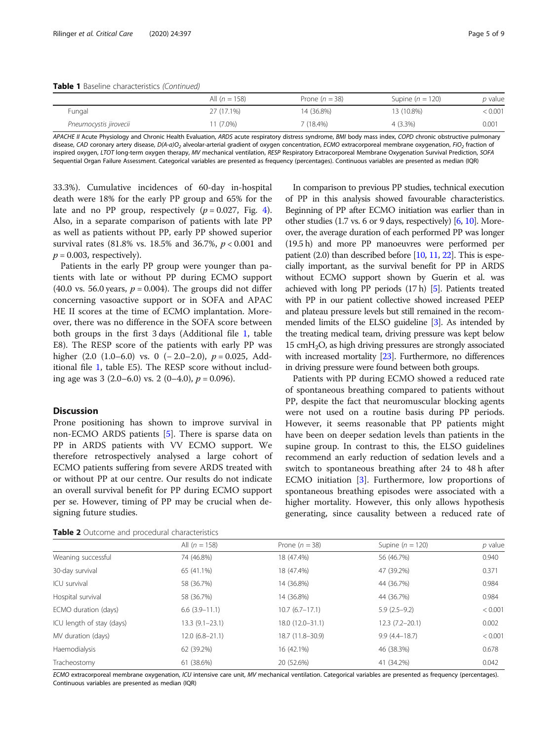<span id="page-4-0"></span>Table 1 Baseline characteristics (Continued)

|                        | All $(n = 158)$ | Prone $(n = 38)$ | Supine $(n = 120)$ | p value |
|------------------------|-----------------|------------------|--------------------|---------|
| Fungal                 | 27 (17.1%)      | 14 (36.8%)       | 13 (10.8%)         | < 0.001 |
| Pneumocystis jirovecii | $1(7.0\%)$      | 7 (18.4%)        | $4(3.3\%)$         | 0.001   |
|                        |                 |                  |                    |         |

APACHE II Acute Physiology and Chronic Health Evaluation, ARDS acute respiratory distress syndrome, BMI body mass index, COPD chronic obstructive pulmonary disease, CAD coronary artery disease, D(A-a)O<sub>2</sub> alveolar-arterial gradient of oxygen concentration, ECMO extracorporeal membrane oxygenation, FiO<sub>2</sub> fraction of inspired oxygen, LTOT long-term oxygen therapy, MV mechanical ventilation, RESP Respiratory Extracorporeal Membrane Oxygenation Survival Prediction, SOFA Sequential Organ Failure Assessment. Categorical variables are presented as frequency (percentages). Continuous variables are presented as median (IQR)

33.3%). Cumulative incidences of 60-day in-hospital death were 18% for the early PP group and 65% for the late and no PP group, respectively  $(p = 0.027,$  Fig. [4](#page-7-0)). Also, in a separate comparison of patients with late PP as well as patients without PP, early PP showed superior survival rates (81.8% vs. 18.5% and 36.7%,  $p < 0.001$  and  $p = 0.003$ , respectively).

Patients in the early PP group were younger than patients with late or without PP during ECMO support (40.0 vs. 56.0 years,  $p = 0.004$ ). The groups did not differ concerning vasoactive support or in SOFA and APAC HE II scores at the time of ECMO implantation. Moreover, there was no difference in the SOFA score between both groups in the first 3 days (Additional file [1](#page-7-0), table E8). The RESP score of the patients with early PP was higher  $(2.0 (1.0–6.0)$  vs. 0  $(-2.0–2.0)$ ,  $p = 0.025$ , Additional file [1](#page-7-0), table E5). The RESP score without including age was 3 (2.0–6.0) vs. 2 (0–4.0),  $p = 0.096$ ).

#### **Discussion**

Prone positioning has shown to improve survival in non-ECMO ARDS patients [\[5](#page-8-0)]. There is sparse data on PP in ARDS patients with VV ECMO support. We therefore retrospectively analysed a large cohort of ECMO patients suffering from severe ARDS treated with or without PP at our centre. Our results do not indicate an overall survival benefit for PP during ECMO support per se. However, timing of PP may be crucial when designing future studies.

|  |  |  |  | Table 2 Outcome and procedural characteristics |
|--|--|--|--|------------------------------------------------|
|--|--|--|--|------------------------------------------------|

In comparison to previous PP studies, technical execution of PP in this analysis showed favourable characteristics. Beginning of PP after ECMO initiation was earlier than in other studies (1.7 vs. 6 or 9 days, respectively) [\[6,](#page-8-0) [10\]](#page-8-0). Moreover, the average duration of each performed PP was longer (19.5 h) and more PP manoeuvres were performed per patient (2.0) than described before [\[10,](#page-8-0) [11,](#page-8-0) [22\]](#page-8-0). This is especially important, as the survival benefit for PP in ARDS without ECMO support shown by Guerin et al. was achieved with long PP periods (17 h) [\[5](#page-8-0)]. Patients treated with PP in our patient collective showed increased PEEP and plateau pressure levels but still remained in the recommended limits of the ELSO guideline [\[3\]](#page-8-0). As intended by the treating medical team, driving pressure was kept below  $15 \text{ cm}$ H<sub>2</sub>O, as high driving pressures are strongly associated with increased mortality [\[23\]](#page-8-0). Furthermore, no differences in driving pressure were found between both groups.

Patients with PP during ECMO showed a reduced rate of spontaneous breathing compared to patients without PP, despite the fact that neuromuscular blocking agents were not used on a routine basis during PP periods. However, it seems reasonable that PP patients might have been on deeper sedation levels than patients in the supine group. In contrast to this, the ELSO guidelines recommend an early reduction of sedation levels and a switch to spontaneous breathing after 24 to 48 h after ECMO initiation [[3\]](#page-8-0). Furthermore, low proportions of spontaneous breathing episodes were associated with a higher mortality. However, this only allows hypothesis generating, since causality between a reduced rate of

|                           | All $(n = 158)$      | Prone $(n = 38)$    | Supine $(n = 120)$ | $p$ value |
|---------------------------|----------------------|---------------------|--------------------|-----------|
| Weaning successful        | 74 (46.8%)           | 18 (47.4%)          | 56 (46.7%)         | 0.940     |
| 30-day survival           | 65 (41.1%)           | 18 (47.4%)          | 47 (39.2%)         | 0.371     |
| ICU survival              | 58 (36.7%)           | 14 (36.8%)          | 44 (36.7%)         | 0.984     |
| Hospital survival         | 58 (36.7%)           | 14 (36.8%)          | 44 (36.7%)         | 0.984     |
| ECMO duration (days)      | $6.6$ $(3.9 - 11.1)$ | $10.7(6.7-17.1)$    | $5.9(2.5-9.2)$     | < 0.001   |
| ICU length of stay (days) | $13.3(9.1-23.1)$     | $18.0(12.0 - 31.1)$ | $12.3(7.2 - 20.1)$ | 0.002     |
| MV duration (days)        | $12.0(6.8-21.1)$     | 18.7 (11.8-30.9)    | $9.9(4.4 - 18.7)$  | < 0.001   |
| Haemodialysis             | 62 (39.2%)           | 16 (42.1%)          | 46 (38.3%)         | 0.678     |
| Tracheostomy              | 61 (38.6%)           | 20 (52.6%)          | 41 (34.2%)         | 0.042     |

ECMO extracorporeal membrane oxygenation, ICU intensive care unit, MV mechanical ventilation. Categorical variables are presented as frequency (percentages). Continuous variables are presented as median (IQR)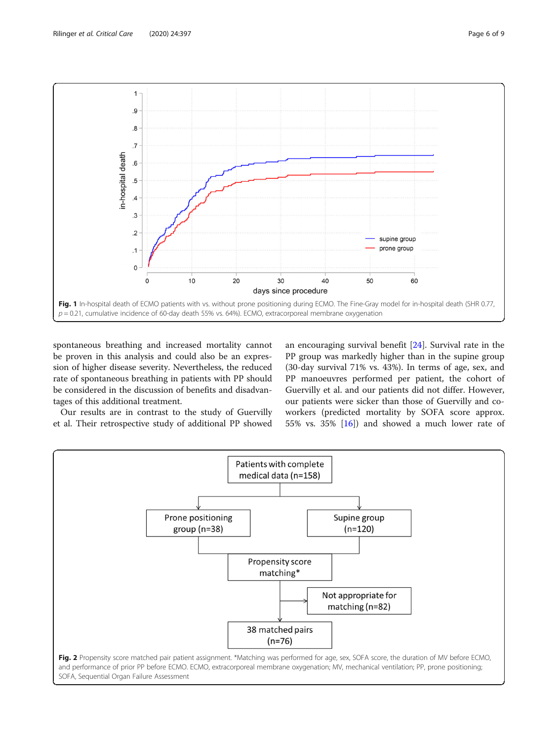<span id="page-5-0"></span>

spontaneous breathing and increased mortality cannot be proven in this analysis and could also be an expression of higher disease severity. Nevertheless, the reduced rate of spontaneous breathing in patients with PP should be considered in the discussion of benefits and disadvantages of this additional treatment.

Our results are in contrast to the study of Guervilly et al. Their retrospective study of additional PP showed

an encouraging survival benefit [[24\]](#page-8-0). Survival rate in the PP group was markedly higher than in the supine group (30-day survival 71% vs. 43%). In terms of age, sex, and PP manoeuvres performed per patient, the cohort of Guervilly et al. and our patients did not differ. However, our patients were sicker than those of Guervilly and coworkers (predicted mortality by SOFA score approx. 55% vs. 35% [\[16\]](#page-8-0)) and showed a much lower rate of

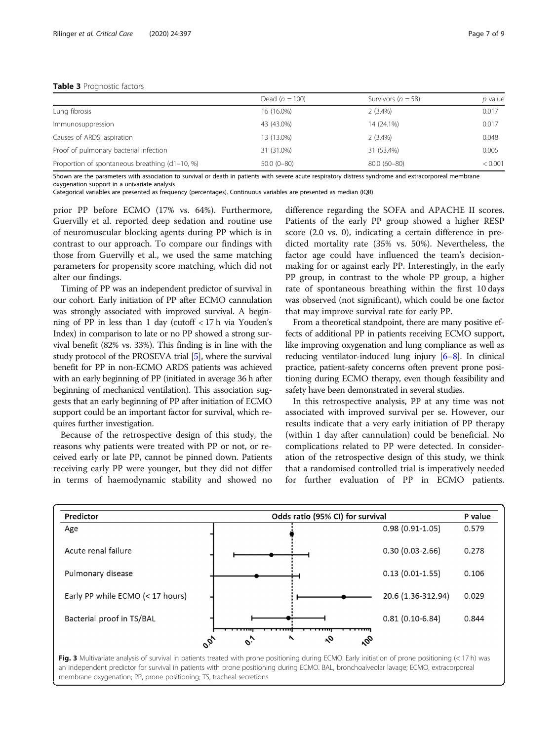#### <span id="page-6-0"></span>Table 3 Prognostic factors

|                                                | Dead $(n = 100)$ | Survivors ( $n = 58$ ) | p value |
|------------------------------------------------|------------------|------------------------|---------|
| Lung fibrosis                                  | 16 (16.0%)       | $2(3.4\%)$             | 0.017   |
| Immunosuppression                              | 43 (43.0%)       | 14 (24.1%)             | 0.017   |
| Causes of ARDS: aspiration                     | 13 (13.0%)       | $2(3.4\%)$             | 0.048   |
| Proof of pulmonary bacterial infection         | 31 (31.0%)       | 31 (53.4%)             | 0.005   |
| Proportion of spontaneous breathing (d1-10, %) | $50.0(0-80)$     | 80.0 (60-80)           | < 0.001 |

Shown are the parameters with association to survival or death in patients with severe acute respiratory distress syndrome and extracorporeal membrane oxygenation support in a univariate analysis

Categorical variables are presented as frequency (percentages). Continuous variables are presented as median (IQR)

prior PP before ECMO (17% vs. 64%). Furthermore, Guervilly et al. reported deep sedation and routine use of neuromuscular blocking agents during PP which is in contrast to our approach. To compare our findings with those from Guervilly et al., we used the same matching parameters for propensity score matching, which did not alter our findings.

Timing of PP was an independent predictor of survival in our cohort. Early initiation of PP after ECMO cannulation was strongly associated with improved survival. A beginning of PP in less than 1 day (cutoff < 17 h via Youden's Index) in comparison to late or no PP showed a strong survival benefit (82% vs. 33%). This finding is in line with the study protocol of the PROSEVA trial [\[5\]](#page-8-0), where the survival benefit for PP in non-ECMO ARDS patients was achieved with an early beginning of PP (initiated in average 36 h after beginning of mechanical ventilation). This association suggests that an early beginning of PP after initiation of ECMO support could be an important factor for survival, which requires further investigation.

Because of the retrospective design of this study, the reasons why patients were treated with PP or not, or received early or late PP, cannot be pinned down. Patients receiving early PP were younger, but they did not differ in terms of haemodynamic stability and showed no

difference regarding the SOFA and APACHE II scores. Patients of the early PP group showed a higher RESP score (2.0 vs. 0), indicating a certain difference in predicted mortality rate (35% vs. 50%). Nevertheless, the factor age could have influenced the team's decisionmaking for or against early PP. Interestingly, in the early PP group, in contrast to the whole PP group, a higher rate of spontaneous breathing within the first 10 days was observed (not significant), which could be one factor that may improve survival rate for early PP.

From a theoretical standpoint, there are many positive effects of additional PP in patients receiving ECMO support, like improving oxygenation and lung compliance as well as reducing ventilator-induced lung injury [\[6](#page-8-0)–[8](#page-8-0)]. In clinical practice, patient-safety concerns often prevent prone positioning during ECMO therapy, even though feasibility and safety have been demonstrated in several studies.

In this retrospective analysis, PP at any time was not associated with improved survival per se. However, our results indicate that a very early initiation of PP therapy (within 1 day after cannulation) could be beneficial. No complications related to PP were detected. In consideration of the retrospective design of this study, we think that a randomised controlled trial is imperatively needed for further evaluation of PP in ECMO patients.



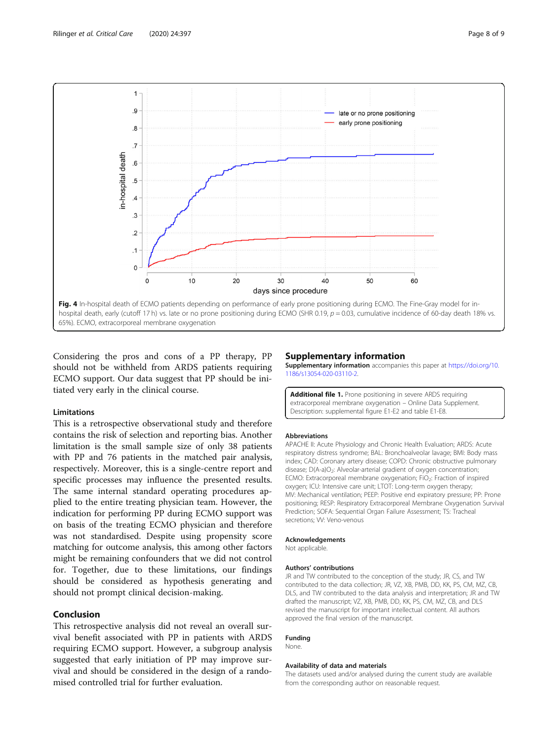<span id="page-7-0"></span>

Considering the pros and cons of a PP therapy, PP should not be withheld from ARDS patients requiring ECMO support. Our data suggest that PP should be initiated very early in the clinical course.

#### Limitations

This is a retrospective observational study and therefore contains the risk of selection and reporting bias. Another limitation is the small sample size of only 38 patients with PP and 76 patients in the matched pair analysis, respectively. Moreover, this is a single-centre report and specific processes may influence the presented results. The same internal standard operating procedures applied to the entire treating physician team. However, the indication for performing PP during ECMO support was on basis of the treating ECMO physician and therefore was not standardised. Despite using propensity score matching for outcome analysis, this among other factors might be remaining confounders that we did not control for. Together, due to these limitations, our findings should be considered as hypothesis generating and should not prompt clinical decision-making.

#### Conclusion

This retrospective analysis did not reveal an overall survival benefit associated with PP in patients with ARDS requiring ECMO support. However, a subgroup analysis suggested that early initiation of PP may improve survival and should be considered in the design of a randomised controlled trial for further evaluation.

#### Supplementary information

Supplementary information accompanies this paper at [https://doi.org/10.](https://doi.org/10.1186/s13054-020-03110-2) [1186/s13054-020-03110-2](https://doi.org/10.1186/s13054-020-03110-2).

Additional file 1. Prone positioning in severe ARDS requiring extracorporeal membrane oxygenation – Online Data Supplement. Description: supplemental figure E1-E2 and table E1-E8.

#### Abbreviations

APACHE II: Acute Physiology and Chronic Health Evaluation; ARDS: Acute respiratory distress syndrome; BAL: Bronchoalveolar lavage; BMI: Body mass index; CAD: Coronary artery disease; COPD: Chronic obstructive pulmonary disease; D(A-a)O<sub>2</sub>: Alveolar-arterial gradient of oxygen concentration; ECMO: Extracorporeal membrane oxygenation; FiO<sub>2</sub>: Fraction of inspired oxygen; ICU: Intensive care unit; LTOT: Long-term oxygen therapy; MV: Mechanical ventilation; PEEP: Positive end expiratory pressure; PP: Prone positioning; RESP: Respiratory Extracorporeal Membrane Oxygenation Survival Prediction; SOFA: Sequential Organ Failure Assessment; TS: Tracheal secretions; VV: Veno-venous

#### Acknowledgements

Not applicable.

#### Authors' contributions

JR and TW contributed to the conception of the study; JR, CS, and TW contributed to the data collection; JR, VZ, XB, PMB, DD, KK, PS, CM, MZ, CB, DLS, and TW contributed to the data analysis and interpretation; JR and TW drafted the manuscript; VZ, XB, PMB, DD, KK, PS, CM, MZ, CB, and DLS revised the manuscript for important intellectual content. All authors approved the final version of the manuscript.

#### Funding None.

#### Availability of data and materials

The datasets used and/or analysed during the current study are available from the corresponding author on reasonable request.